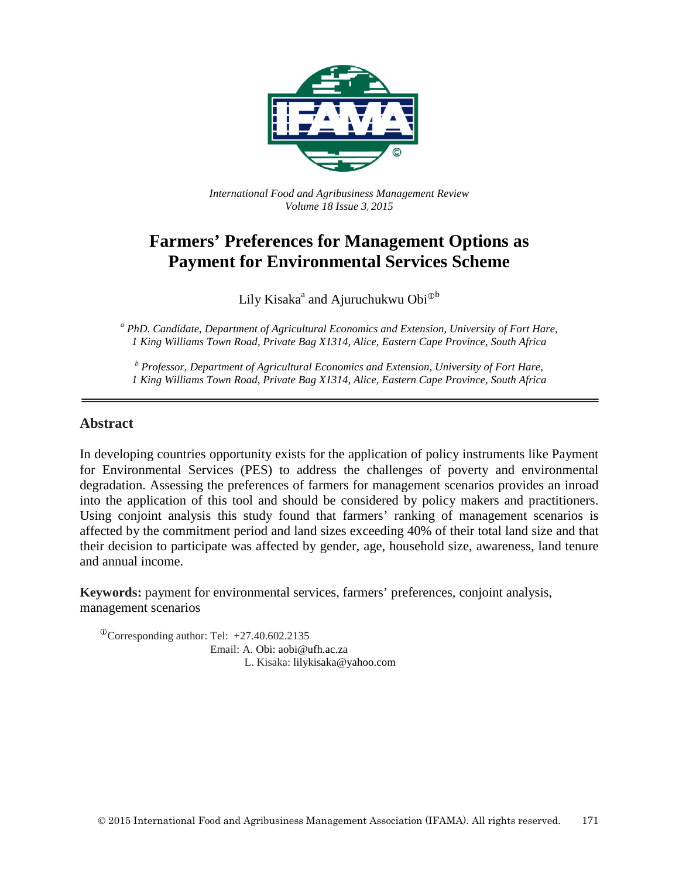

*International Food and Agribusiness Management Review Volume 18 Issue 3*, *2015*

# **Farmers' Preferences for Management Options as Payment for Environmental Services Scheme**

Lily Kisaka<sup>a</sup> and Ajuruchukwu Obi<sup> $\Phi$ b</sup>

*<sup>a</sup> PhD. Candidate, Department of Agricultural Economics and Extension, University of Fort Hare, 1 King Williams Town Road, Private Bag X1314, Alice, Eastern Cape Province, South Africa*

*<sup>b</sup> Professor, Department of Agricultural Economics and Extension, University of Fort Hare, 1 King Williams Town Road, Private Bag X1314, Alice, Eastern Cape Province, South Africa*

## **Abstract**

In developing countries opportunity exists for the application of policy instruments like Payment for Environmental Services (PES) to address the challenges of poverty and environmental degradation. Assessing the preferences of farmers for management scenarios provides an inroad into the application of this tool and should be considered by policy makers and practitioners. Using conjoint analysis this study found that farmers' ranking of management scenarios is affected by the commitment period and land sizes exceeding 40% of their total land size and that their decision to participate was affected by gender, age, household size, awareness, land tenure and annual income.

**Keywords:** payment for environmental services, farmers' preferences, conjoint analysis, management scenarios

 $^{\circ}$ Corresponding author: Tel: +27.40.602.2135 Email: A. Obi: aobi@ufh.ac.za L. Kisaka: lilykisaka@yahoo.com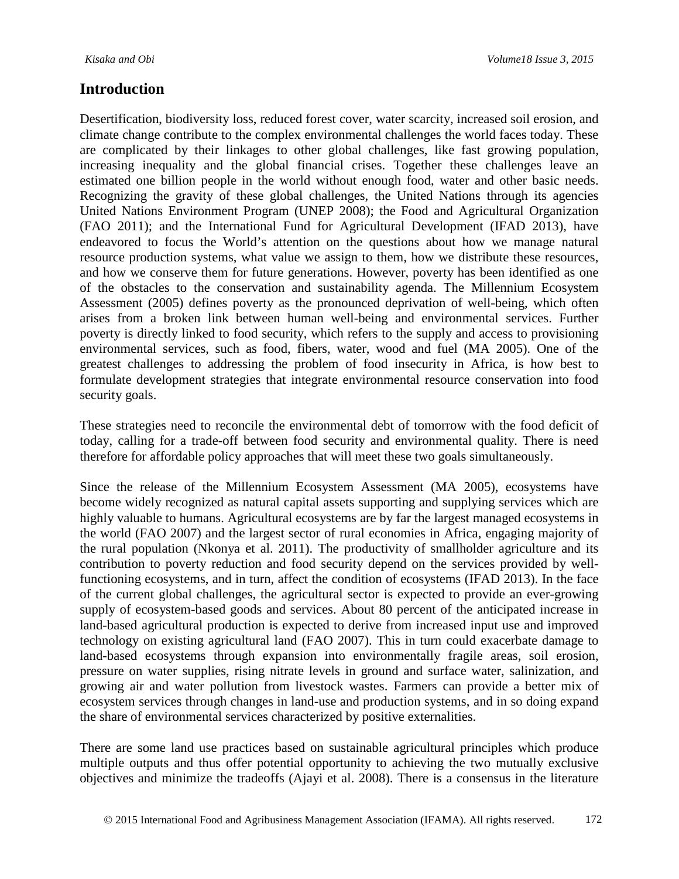Desertification, biodiversity loss, reduced forest cover, water scarcity, increased soil erosion, and climate change contribute to the complex environmental challenges the world faces today. These are complicated by their linkages to other global challenges, like fast growing population, increasing inequality and the global financial crises. Together these challenges leave an estimated one billion people in the world without enough food, water and other basic needs. Recognizing the gravity of these global challenges, the United Nations through its agencies United Nations Environment Program (UNEP 2008); the Food and Agricultural Organization (FAO 2011); and the International Fund for Agricultural Development (IFAD 2013), have endeavored to focus the World's attention on the questions about how we manage natural resource production systems, what value we assign to them, how we distribute these resources, and how we conserve them for future generations. However, poverty has been identified as one of the obstacles to the conservation and sustainability agenda. The Millennium Ecosystem Assessment (2005) defines poverty as the pronounced deprivation of well-being, which often arises from a broken link between human well-being and environmental services. Further poverty is directly linked to food security, which refers to the supply and access to provisioning environmental services, such as food, fibers, water, wood and fuel (MA 2005). One of the greatest challenges to addressing the problem of food insecurity in Africa, is how best to formulate development strategies that integrate environmental resource conservation into food security goals.

These strategies need to reconcile the environmental debt of tomorrow with the food deficit of today, calling for a trade-off between food security and environmental quality. There is need therefore for affordable policy approaches that will meet these two goals simultaneously.

Since the release of the Millennium Ecosystem Assessment (MA 2005), ecosystems have become widely recognized as natural capital assets supporting and supplying services which are highly valuable to humans. Agricultural ecosystems are by far the largest managed ecosystems in the world (FAO 2007) and the largest sector of rural economies in Africa, engaging majority of the rural population (Nkonya et al. 2011). The productivity of smallholder agriculture and its contribution to poverty reduction and food security depend on the services provided by wellfunctioning ecosystems, and in turn, affect the condition of ecosystems (IFAD 2013). In the face of the current global challenges, the agricultural sector is expected to provide an ever-growing supply of ecosystem-based goods and services. About 80 percent of the anticipated increase in land-based agricultural production is expected to derive from increased input use and improved technology on existing agricultural land (FAO 2007). This in turn could exacerbate damage to land-based ecosystems through expansion into environmentally fragile areas, soil erosion, pressure on water supplies, rising nitrate levels in ground and surface water, salinization, and growing air and water pollution from livestock wastes. Farmers can provide a better mix of ecosystem services through changes in land-use and production systems, and in so doing expand the share of environmental services characterized by positive externalities.

There are some land use practices based on sustainable agricultural principles which produce multiple outputs and thus offer potential opportunity to achieving the two mutually exclusive objectives and minimize the tradeoffs (Ajayi et al. 2008). There is a consensus in the literature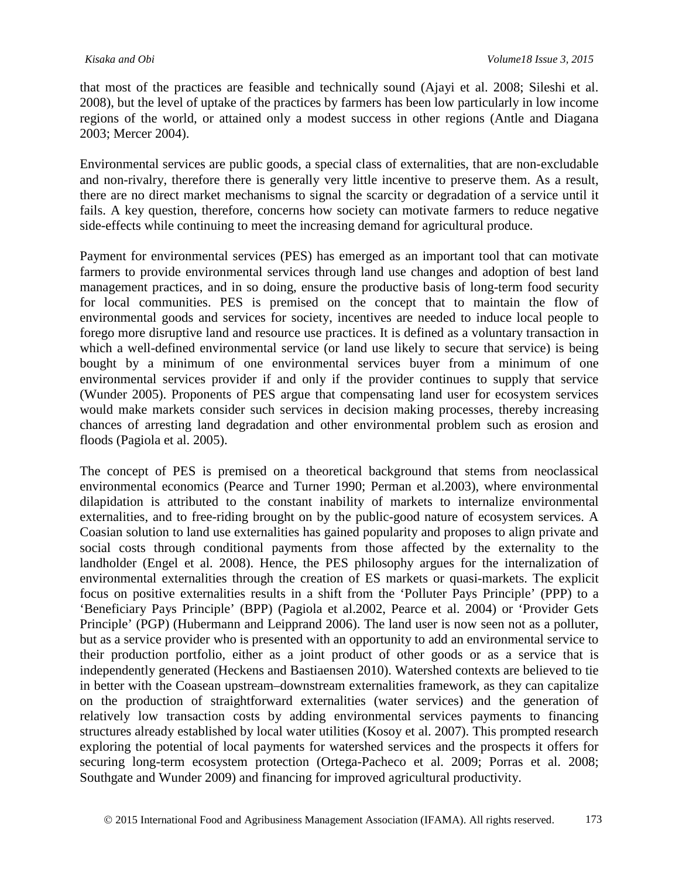that most of the practices are feasible and technically sound (Ajayi et al. 2008; Sileshi et al. 2008), but the level of uptake of the practices by farmers has been low particularly in low income regions of the world, or attained only a modest success in other regions (Antle and Diagana 2003; Mercer 2004).

Environmental services are public goods, a special class of externalities, that are non-excludable and non-rivalry, therefore there is generally very little incentive to preserve them. As a result, there are no direct market mechanisms to signal the scarcity or degradation of a service until it fails. A key question, therefore, concerns how society can motivate farmers to reduce negative side-effects while continuing to meet the increasing demand for agricultural produce.

Payment for environmental services (PES) has emerged as an important tool that can motivate farmers to provide environmental services through land use changes and adoption of best land management practices, and in so doing, ensure the productive basis of long-term food security for local communities. PES is premised on the concept that to maintain the flow of environmental goods and services for society, incentives are needed to induce local people to forego more disruptive land and resource use practices. It is defined as a voluntary transaction in which a well-defined environmental service (or land use likely to secure that service) is being bought by a minimum of one environmental services buyer from a minimum of one environmental services provider if and only if the provider continues to supply that service (Wunder 2005). Proponents of PES argue that compensating land user for ecosystem services would make markets consider such services in decision making processes, thereby increasing chances of arresting land degradation and other environmental problem such as erosion and floods (Pagiola et al. 2005).

The concept of PES is premised on a theoretical background that stems from neoclassical environmental economics (Pearce and Turner 1990; Perman et al.2003), where environmental dilapidation is attributed to the constant inability of markets to internalize environmental externalities, and to free-riding brought on by the public-good nature of ecosystem services. A Coasian solution to land use externalities has gained popularity and proposes to align private and social costs through conditional payments from those affected by the externality to the landholder (Engel et al. 2008). Hence, the PES philosophy argues for the internalization of environmental externalities through the creation of ES markets or quasi-markets. The explicit focus on positive externalities results in a shift from the 'Polluter Pays Principle' (PPP) to a 'Beneficiary Pays Principle' (BPP) (Pagiola et al.2002, Pearce et al. 2004) or 'Provider Gets Principle' (PGP) (Hubermann and Leipprand 2006). The land user is now seen not as a polluter, but as a service provider who is presented with an opportunity to add an environmental service to their production portfolio, either as a joint product of other goods or as a service that is independently generated (Heckens and Bastiaensen 2010). Watershed contexts are believed to tie in better with the Coasean upstream–downstream externalities framework, as they can capitalize on the production of straightforward externalities (water services) and the generation of relatively low transaction costs by adding environmental services payments to financing structures already established by local water utilities (Kosoy et al. 2007). This prompted research exploring the potential of local payments for watershed services and the prospects it offers for securing long-term ecosystem protection (Ortega-Pacheco et al. 2009; Porras et al. 2008; Southgate and Wunder 2009) and financing for improved agricultural productivity.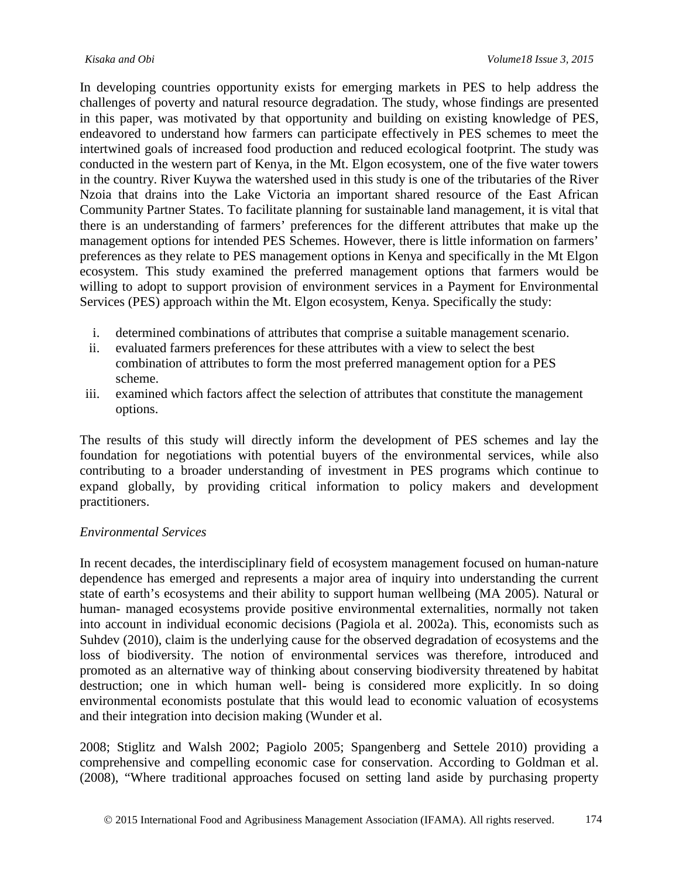In developing countries opportunity exists for emerging markets in PES to help address the challenges of poverty and natural resource degradation. The study, whose findings are presented in this paper, was motivated by that opportunity and building on existing knowledge of PES, endeavored to understand how farmers can participate effectively in PES schemes to meet the intertwined goals of increased food production and reduced ecological footprint. The study was conducted in the western part of Kenya, in the Mt. Elgon ecosystem, one of the five water towers in the country. River Kuywa the watershed used in this study is one of the tributaries of the River Nzoia that drains into the Lake Victoria an important shared resource of the East African Community Partner States. To facilitate planning for sustainable land management, it is vital that there is an understanding of farmers' preferences for the different attributes that make up the management options for intended PES Schemes. However, there is little information on farmers' preferences as they relate to PES management options in Kenya and specifically in the Mt Elgon ecosystem. This study examined the preferred management options that farmers would be willing to adopt to support provision of environment services in a Payment for Environmental Services (PES) approach within the Mt. Elgon ecosystem, Kenya. Specifically the study:

- i. determined combinations of attributes that comprise a suitable management scenario.
- ii. evaluated farmers preferences for these attributes with a view to select the best combination of attributes to form the most preferred management option for a PES scheme.
- iii. examined which factors affect the selection of attributes that constitute the management options.

The results of this study will directly inform the development of PES schemes and lay the foundation for negotiations with potential buyers of the environmental services, while also contributing to a broader understanding of investment in PES programs which continue to expand globally, by providing critical information to policy makers and development practitioners.

#### *Environmental Services*

In recent decades, the interdisciplinary field of ecosystem management focused on human-nature dependence has emerged and represents a major area of inquiry into understanding the current state of earth's ecosystems and their ability to support human wellbeing (MA 2005). Natural or human- managed ecosystems provide positive environmental externalities, normally not taken into account in individual economic decisions (Pagiola et al. 2002a). This, economists such as Suhdev (2010), claim is the underlying cause for the observed degradation of ecosystems and the loss of biodiversity. The notion of environmental services was therefore, introduced and promoted as an alternative way of thinking about conserving biodiversity threatened by habitat destruction; one in which human well- being is considered more explicitly. In so doing environmental economists postulate that this would lead to economic valuation of ecosystems and their integration into decision making (Wunder et al.

2008; Stiglitz and Walsh 2002; Pagiolo 2005; Spangenberg and Settele 2010) providing a comprehensive and compelling economic case for conservation. According to Goldman et al. (2008), "Where traditional approaches focused on setting land aside by purchasing property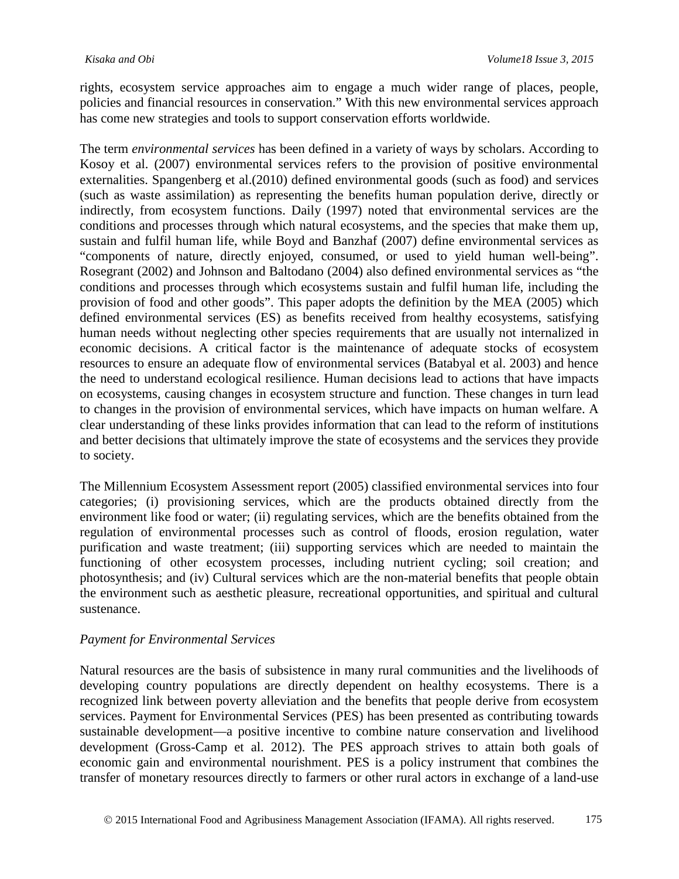rights, ecosystem service approaches aim to engage a much wider range of places, people, policies and financial resources in conservation." With this new environmental services approach has come new strategies and tools to support conservation efforts worldwide.

The term *environmental services* has been defined in a variety of ways by scholars. According to Kosoy et al. (2007) environmental services refers to the provision of positive environmental externalities. Spangenberg et al.(2010) defined environmental goods (such as food) and services (such as waste assimilation) as representing the benefits human population derive, directly or indirectly, from ecosystem functions. Daily (1997) noted that environmental services are the conditions and processes through which natural ecosystems, and the species that make them up, sustain and fulfil human life, while Boyd and Banzhaf (2007) define environmental services as "components of nature, directly enjoyed, consumed, or used to yield human well-being". Rosegrant (2002) and Johnson and Baltodano (2004) also defined environmental services as "the conditions and processes through which ecosystems sustain and fulfil human life, including the provision of food and other goods". This paper adopts the definition by the MEA (2005) which defined environmental services (ES) as benefits received from healthy ecosystems, satisfying human needs without neglecting other species requirements that are usually not internalized in economic decisions. A critical factor is the maintenance of adequate stocks of ecosystem resources to ensure an adequate flow of environmental services (Batabyal et al. 2003) and hence the need to understand ecological resilience. Human decisions lead to actions that have impacts on ecosystems, causing changes in ecosystem structure and function. These changes in turn lead to changes in the provision of environmental services, which have impacts on human welfare. A clear understanding of these links provides information that can lead to the reform of institutions and better decisions that ultimately improve the state of ecosystems and the services they provide to society.

The Millennium Ecosystem Assessment report (2005) classified environmental services into four categories; (i) provisioning services, which are the products obtained directly from the environment like food or water; (ii) regulating services, which are the benefits obtained from the regulation of environmental processes such as control of floods, erosion regulation, water purification and waste treatment; (iii) supporting services which are needed to maintain the functioning of other ecosystem processes, including nutrient cycling; soil creation; and photosynthesis; and (iv) Cultural services which are the non-material benefits that people obtain the environment such as aesthetic pleasure, recreational opportunities, and spiritual and cultural sustenance.

#### *Payment for Environmental Services*

Natural resources are the basis of subsistence in many rural communities and the livelihoods of developing country populations are directly dependent on healthy ecosystems. There is a recognized link between poverty alleviation and the benefits that people derive from ecosystem services. Payment for Environmental Services (PES) has been presented as contributing towards sustainable development—a positive incentive to combine nature conservation and livelihood development (Gross-Camp et al. 2012). The PES approach strives to attain both goals of economic gain and environmental nourishment. PES is a policy instrument that combines the transfer of monetary resources directly to farmers or other rural actors in exchange of a land-use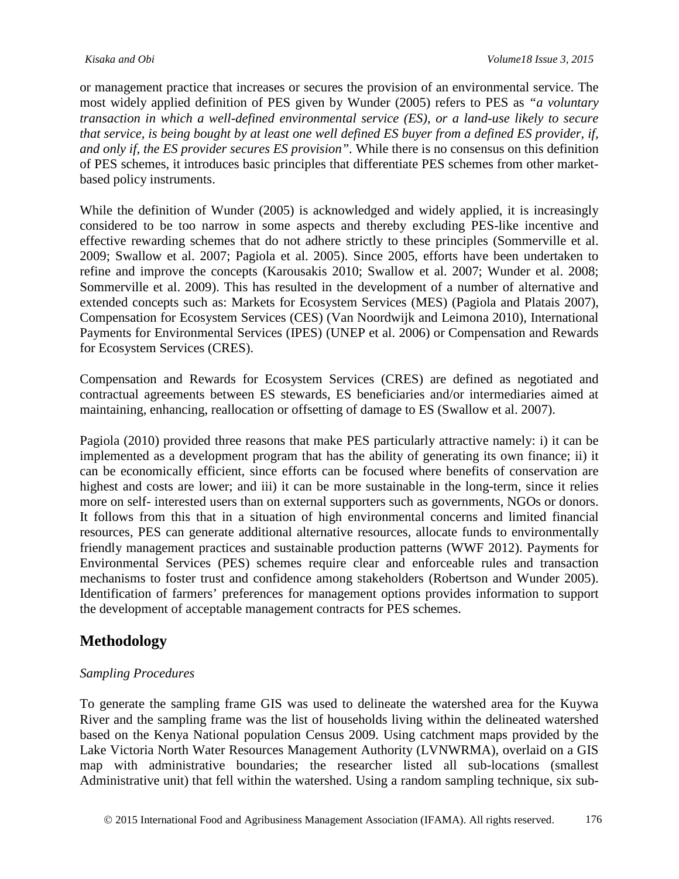or management practice that increases or secures the provision of an environmental service. The most widely applied definition of PES given by Wunder (2005) refers to PES as *"a voluntary transaction in which a well-defined environmental service (ES), or a land-use likely to secure that service, is being bought by at least one well defined ES buyer from a defined ES provider, if, and only if, the ES provider secures ES provision".* While there is no consensus on this definition of PES schemes, it introduces basic principles that differentiate PES schemes from other marketbased policy instruments.

While the definition of Wunder (2005) is acknowledged and widely applied, it is increasingly considered to be too narrow in some aspects and thereby excluding PES-like incentive and effective rewarding schemes that do not adhere strictly to these principles (Sommerville et al. 2009; Swallow et al. 2007; Pagiola et al. 2005). Since 2005, efforts have been undertaken to refine and improve the concepts (Karousakis 2010; Swallow et al. 2007; Wunder et al. 2008; Sommerville et al. 2009). This has resulted in the development of a number of alternative and extended concepts such as: Markets for Ecosystem Services (MES) (Pagiola and Platais 2007), Compensation for Ecosystem Services (CES) (Van Noordwijk and Leimona 2010), International Payments for Environmental Services (IPES) (UNEP et al. 2006) or Compensation and Rewards for Ecosystem Services (CRES).

Compensation and Rewards for Ecosystem Services (CRES) are defined as negotiated and contractual agreements between ES stewards, ES beneficiaries and/or intermediaries aimed at maintaining, enhancing, reallocation or offsetting of damage to ES (Swallow et al. 2007).

Pagiola (2010) provided three reasons that make PES particularly attractive namely: i) it can be implemented as a development program that has the ability of generating its own finance; ii) it can be economically efficient, since efforts can be focused where benefits of conservation are highest and costs are lower; and iii) it can be more sustainable in the long-term, since it relies more on self- interested users than on external supporters such as governments, NGOs or donors. It follows from this that in a situation of high environmental concerns and limited financial resources, PES can generate additional alternative resources, allocate funds to environmentally friendly management practices and sustainable production patterns (WWF 2012). Payments for Environmental Services (PES) schemes require clear and enforceable rules and transaction mechanisms to foster trust and confidence among stakeholders (Robertson and Wunder 2005). Identification of farmers' preferences for management options provides information to support the development of acceptable management contracts for PES schemes.

# **Methodology**

#### *Sampling Procedures*

To generate the sampling frame GIS was used to delineate the watershed area for the Kuywa River and the sampling frame was the list of households living within the delineated watershed based on the Kenya National population Census 2009. Using catchment maps provided by the Lake Victoria North Water Resources Management Authority (LVNWRMA), overlaid on a GIS map with administrative boundaries; the researcher listed all sub-locations (smallest Administrative unit) that fell within the watershed. Using a random sampling technique, six sub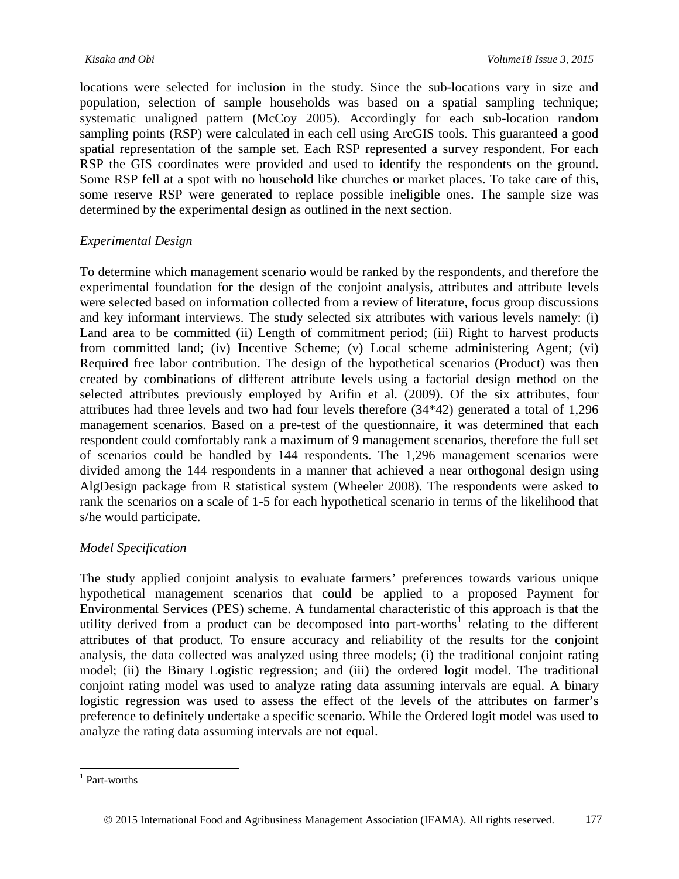locations were selected for inclusion in the study. Since the sub-locations vary in size and population, selection of sample households was based on a spatial sampling technique; systematic unaligned pattern (McCoy 2005). Accordingly for each sub-location random sampling points (RSP) were calculated in each cell using ArcGIS tools. This guaranteed a good spatial representation of the sample set. Each RSP represented a survey respondent. For each RSP the GIS coordinates were provided and used to identify the respondents on the ground. Some RSP fell at a spot with no household like churches or market places. To take care of this, some reserve RSP were generated to replace possible ineligible ones. The sample size was determined by the experimental design as outlined in the next section.

#### *Experimental Design*

To determine which management scenario would be ranked by the respondents, and therefore the experimental foundation for the design of the conjoint analysis, attributes and attribute levels were selected based on information collected from a review of literature, focus group discussions and key informant interviews. The study selected six attributes with various levels namely: (i) Land area to be committed (ii) Length of commitment period; (iii) Right to harvest products from committed land; (iv) Incentive Scheme; (v) Local scheme administering Agent; (vi) Required free labor contribution. The design of the hypothetical scenarios (Product) was then created by combinations of different attribute levels using a factorial design method on the selected attributes previously employed by Arifin et al. (2009). Of the six attributes, four attributes had three levels and two had four levels therefore (34\*42) generated a total of 1,296 management scenarios. Based on a pre-test of the questionnaire, it was determined that each respondent could comfortably rank a maximum of 9 management scenarios, therefore the full set of scenarios could be handled by 144 respondents. The 1,296 management scenarios were divided among the 144 respondents in a manner that achieved a near orthogonal design using AlgDesign package from R statistical system (Wheeler 2008). The respondents were asked to rank the scenarios on a scale of 1-5 for each hypothetical scenario in terms of the likelihood that s/he would participate.

#### *Model Specification*

The study applied conjoint analysis to evaluate farmers' preferences towards various unique hypothetical management scenarios that could be applied to a proposed Payment for Environmental Services (PES) scheme. A fundamental characteristic of this approach is that the utility derived from a product can be decomposed into part-worths<sup>[1](#page-6-0)</sup> relating to the different attributes of that product. To ensure accuracy and reliability of the results for the conjoint analysis, the data collected was analyzed using three models; (i) the traditional conjoint rating model; (ii) the Binary Logistic regression; and (iii) the ordered logit model. The traditional conjoint rating model was used to analyze rating data assuming intervals are equal. A binary logistic regression was used to assess the effect of the levels of the attributes on farmer's preference to definitely undertake a specific scenario. While the Ordered logit model was used to analyze the rating data assuming intervals are not equal.

<span id="page-6-0"></span> $<sup>1</sup>$  [Part-worths](https://www.surveyanalytics.com/help/143.html)</sup>

<sup>© 2015</sup> International Food and Agribusiness Management Association (IFAMA). All rights reserved. 177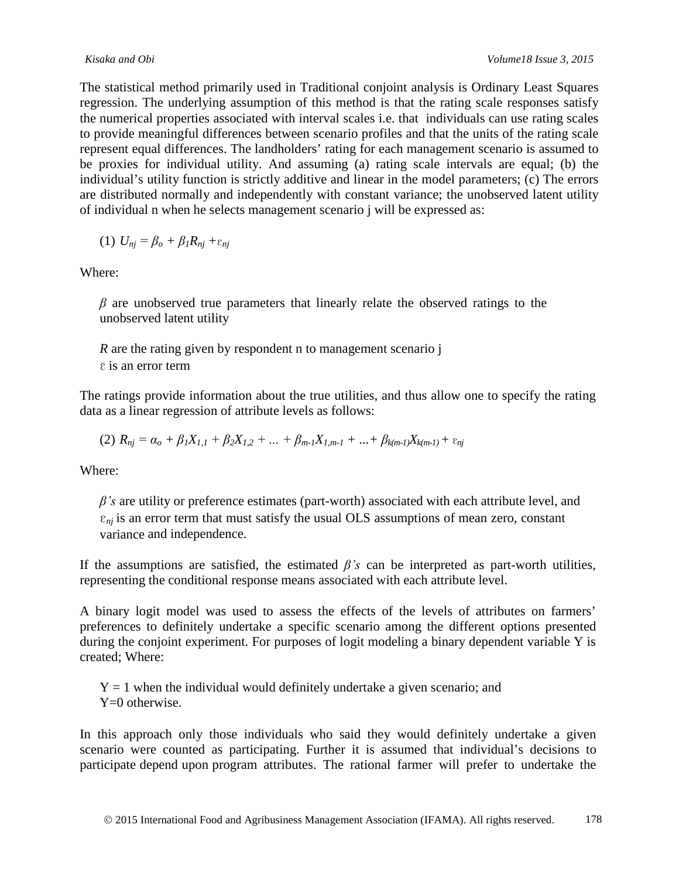The statistical method primarily used in Traditional conjoint analysis is Ordinary Least Squares regression. The underlying assumption of this method is that the rating scale responses satisfy the numerical properties associated with interval scales i.e. that individuals can use rating scales to provide meaningful differences between scenario profiles and that the units of the rating scale represent equal differences. The landholders' rating for each management scenario is assumed to be proxies for individual utility. And assuming (a) rating scale intervals are equal; (b) the individual's utility function is strictly additive and linear in the model parameters; (c) The errors are distributed normally and independently with constant variance; the unobserved latent utility of individual n when he selects management scenario j will be expressed as:

$$
(1) U_{nj} = \beta_o + \beta_l R_{nj} + \varepsilon_{nj}
$$

Where:

*β* are unobserved true parameters that linearly relate the observed ratings to the unobserved latent utility

*R* are the rating given by respondent n to management scenario j ε is an error term

The ratings provide information about the true utilities, and thus allow one to specify the rating data as a linear regression of attribute levels as follows:

 $(2)$   $R_{ni} = \alpha_o + \beta_1 X_{1,1} + \beta_2 X_{1,2} + \ldots + \beta_{m-1} X_{1,m-1} + \ldots + \beta_{k(m-1)} X_{k(m-1)} + \varepsilon_{ni}$ 

Where:

*β's* are utility or preference estimates (part-worth) associated with each attribute level, and  $\varepsilon_{ni}$  is an error term that must satisfy the usual OLS assumptions of mean zero, constant variance and independence.

If the assumptions are satisfied, the estimated  $\beta$ 's can be interpreted as part-worth utilities, representing the conditional response means associated with each attribute level.

A binary logit model was used to assess the effects of the levels of attributes on farmers' preferences to definitely undertake a specific scenario among the different options presented during the conjoint experiment. For purposes of logit modeling a binary dependent variable Y is created; Where:

 $Y = 1$  when the individual would definitely undertake a given scenario; and Y=0 otherwise.

In this approach only those individuals who said they would definitely undertake a given scenario were counted as participating. Further it is assumed that individual's decisions to participate depend upon program attributes. The rational farmer will prefer to undertake the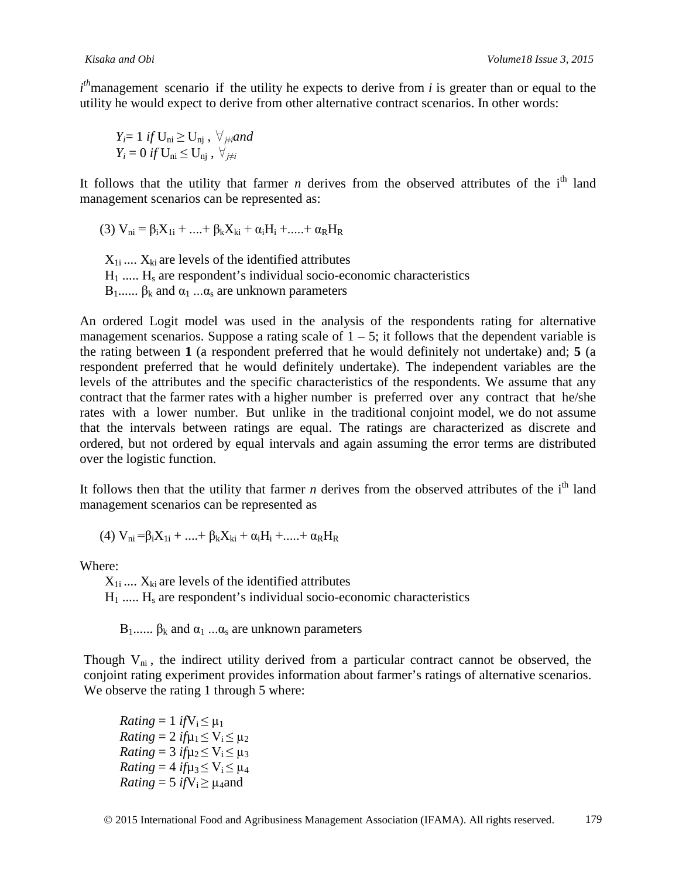*i*<sup>th</sup> management scenario if the utility he expects to derive from *i* is greater than or equal to the utility he would expect to derive from other alternative contract scenarios. In other words:

$$
\begin{array}{l} Y_i = 1 \text{ if } U_{ni} \geq U_{nj} \text{ , } \forall_{j \neq i} \text{ and } \\ Y_i = 0 \text{ if } U_{ni} \leq U_{nj} \text{ , } \forall_{j \neq i} \end{array}
$$

It follows that the utility that farmer  $n$  derives from the observed attributes of the  $i<sup>th</sup>$  land management scenarios can be represented as:

(3)  $V_{ni} = \beta_i X_{1i} + \ldots + \beta_k X_{ki} + \alpha_i H_i + \ldots + \alpha_R H_R$ 

 $X_{1i}$  ....  $X_{ki}$  are levels of the identified attributes  $H_1$  .....  $H_s$  are respondent's individual socio-economic characteristics B<sub>1</sub>...... β<sub>k</sub> and  $α_1$  ...α<sub>s</sub> are unknown parameters

An ordered Logit model was used in the analysis of the respondents rating for alternative management scenarios. Suppose a rating scale of  $1 - 5$ ; it follows that the dependent variable is the rating between **1** (a respondent preferred that he would definitely not undertake) and; **5** (a respondent preferred that he would definitely undertake). The independent variables are the levels of the attributes and the specific characteristics of the respondents. We assume that any contract that the farmer rates with a higher number is preferred over any contract that he/she rates with a lower number. But unlike in the traditional conjoint model, we do not assume that the intervals between ratings are equal. The ratings are characterized as discrete and ordered, but not ordered by equal intervals and again assuming the error terms are distributed over the logistic function.

It follows then that the utility that farmer  $n$  derives from the observed attributes of the  $i<sup>th</sup>$  land management scenarios can be represented as

$$
(4) V_{ni} = \beta_i X_{1i} + .... + \beta_k X_{ki} + \alpha_i H_i + .... + \alpha_R H_R
$$

Where:

 $X_{1i}$  ....  $X_{ki}$  are levels of the identified attributes  $H_1$  .....  $H_s$  are respondent's individual socio-economic characteristics

 $B_1$ ......  $\beta_k$  and  $\alpha_1$  ... $\alpha_s$  are unknown parameters

Though  $V_{ni}$ , the indirect utility derived from a particular contract cannot be observed, the conjoint rating experiment provides information about farmer's ratings of alternative scenarios. We observe the rating 1 through 5 where:

*Rating* = 1 *if* $V_i \leq \mu_1$ *Rating* = 2 *if* $\mu_1 \le V_i \le \mu_2$ *Rating* = 3 *if* $\mu$ <sub>2</sub> <  $V_i$  <  $\mu$ <sub>3</sub> *Rating* = 4 *if* $\mu_3 \le V_i \le \mu_4$ *Rating* = 5 *if*V<sub>i</sub> $\geq \mu_4$ and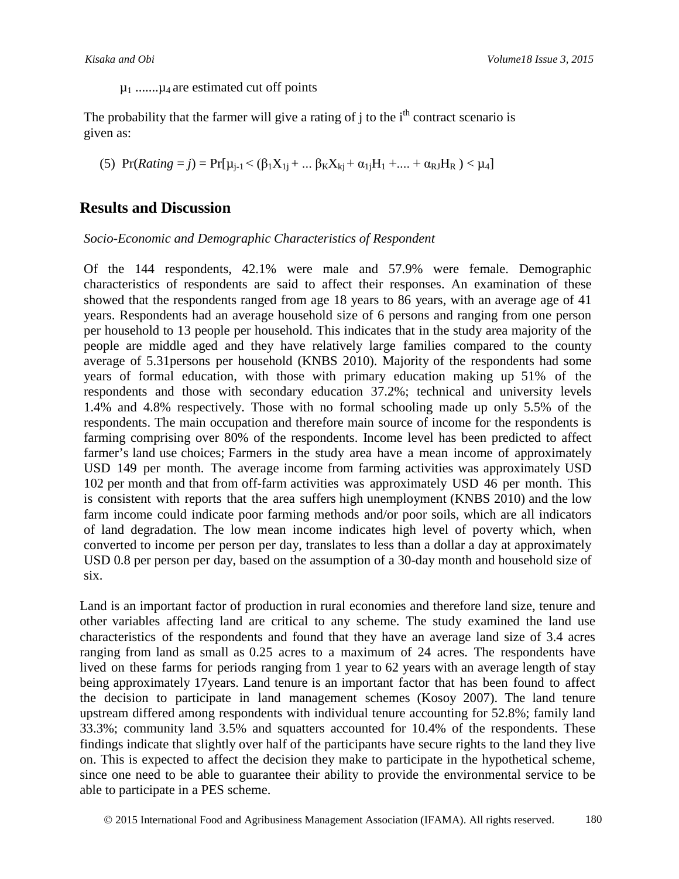$\mu_1$  ....... $\mu_4$  are estimated cut off points

The probability that the farmer will give a rating of  $\mathbf i$  to the i<sup>th</sup> contract scenario is given as:

(5)  $Pr(Rating = j) = Pr[\mu_{j-1} < (\beta_1 X_{1j} + ... \beta_K X_{kj} + \alpha_{1j} H_1 + ... + \alpha_{RJ} H_R) < \mu_4]$ 

## **Results and Discussion**

*Socio-Economic and Demographic Characteristics of Respondent*

Of the 144 respondents, 42.1% were male and 57.9% were female. Demographic characteristics of respondents are said to affect their responses. An examination of these showed that the respondents ranged from age 18 years to 86 years, with an average age of 41 years. Respondents had an average household size of 6 persons and ranging from one person per household to 13 people per household. This indicates that in the study area majority of the people are middle aged and they have relatively large families compared to the county average of 5.31persons per household (KNBS 2010). Majority of the respondents had some years of formal education, with those with primary education making up 51% of the respondents and those with secondary education 37.2%; technical and university levels 1.4% and 4.8% respectively. Those with no formal schooling made up only 5.5% of the respondents. The main occupation and therefore main source of income for the respondents is farming comprising over 80% of the respondents. Income level has been predicted to affect farmer's land use choices; Farmers in the study area have a mean income of approximately USD 149 per month. The average income from farming activities was approximately USD 102 per month and that from off-farm activities was approximately USD 46 per month. This is consistent with reports that the area suffers high unemployment (KNBS 2010) and the low farm income could indicate poor farming methods and/or poor soils, which are all indicators of land degradation. The low mean income indicates high level of poverty which, when converted to income per person per day, translates to less than a dollar a day at approximately USD 0.8 per person per day, based on the assumption of a 30-day month and household size of six.

Land is an important factor of production in rural economies and therefore land size, tenure and other variables affecting land are critical to any scheme. The study examined the land use characteristics of the respondents and found that they have an average land size of 3.4 acres ranging from land as small as 0.25 acres to a maximum of 24 acres. The respondents have lived on these farms for periods ranging from 1 year to 62 years with an average length of stay being approximately 17years. Land tenure is an important factor that has been found to affect the decision to participate in land management schemes (Kosoy 2007). The land tenure upstream differed among respondents with individual tenure accounting for 52.8%; family land 33.3%; community land 3.5% and squatters accounted for 10.4% of the respondents. These findings indicate that slightly over half of the participants have secure rights to the land they live on. This is expected to affect the decision they make to participate in the hypothetical scheme, since one need to be able to guarantee their ability to provide the environmental service to be able to participate in a PES scheme.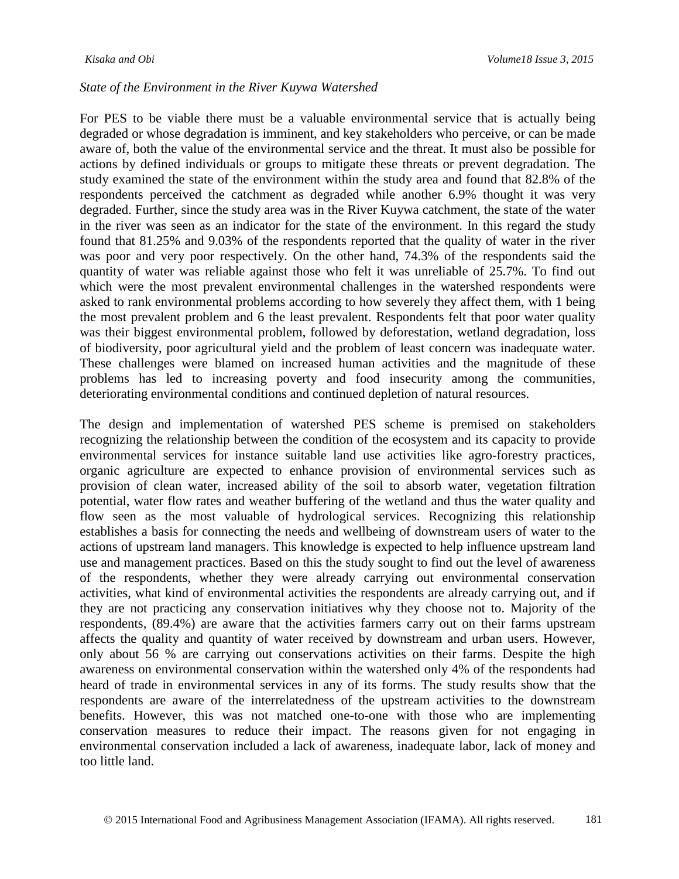#### *State of the Environment in the River Kuywa Watershed*

For PES to be viable there must be a valuable environmental service that is actually being degraded or whose degradation is imminent, and key stakeholders who perceive, or can be made aware of, both the value of the environmental service and the threat. It must also be possible for actions by defined individuals or groups to mitigate these threats or prevent degradation. The study examined the state of the environment within the study area and found that 82.8% of the respondents perceived the catchment as degraded while another 6.9% thought it was very degraded. Further, since the study area was in the River Kuywa catchment, the state of the water in the river was seen as an indicator for the state of the environment. In this regard the study found that 81.25% and 9.03% of the respondents reported that the quality of water in the river was poor and very poor respectively. On the other hand, 74.3% of the respondents said the quantity of water was reliable against those who felt it was unreliable of 25.7%. To find out which were the most prevalent environmental challenges in the watershed respondents were asked to rank environmental problems according to how severely they affect them, with 1 being the most prevalent problem and 6 the least prevalent. Respondents felt that poor water quality was their biggest environmental problem, followed by deforestation, wetland degradation, loss of biodiversity, poor agricultural yield and the problem of least concern was inadequate water. These challenges were blamed on increased human activities and the magnitude of these problems has led to increasing poverty and food insecurity among the communities, deteriorating environmental conditions and continued depletion of natural resources.

The design and implementation of watershed PES scheme is premised on stakeholders recognizing the relationship between the condition of the ecosystem and its capacity to provide environmental services for instance suitable land use activities like agro-forestry practices, organic agriculture are expected to enhance provision of environmental services such as provision of clean water, increased ability of the soil to absorb water, vegetation filtration potential, water flow rates and weather buffering of the wetland and thus the water quality and flow seen as the most valuable of hydrological services. Recognizing this relationship establishes a basis for connecting the needs and wellbeing of downstream users of water to the actions of upstream land managers. This knowledge is expected to help influence upstream land use and management practices. Based on this the study sought to find out the level of awareness of the respondents, whether they were already carrying out environmental conservation activities, what kind of environmental activities the respondents are already carrying out, and if they are not practicing any conservation initiatives why they choose not to. Majority of the respondents, (89.4%) are aware that the activities farmers carry out on their farms upstream affects the quality and quantity of water received by downstream and urban users. However, only about 56 % are carrying out conservations activities on their farms. Despite the high awareness on environmental conservation within the watershed only 4% of the respondents had heard of trade in environmental services in any of its forms. The study results show that the respondents are aware of the interrelatedness of the upstream activities to the downstream benefits. However, this was not matched one-to-one with those who are implementing conservation measures to reduce their impact. The reasons given for not engaging in environmental conservation included a lack of awareness, inadequate labor, lack of money and too little land.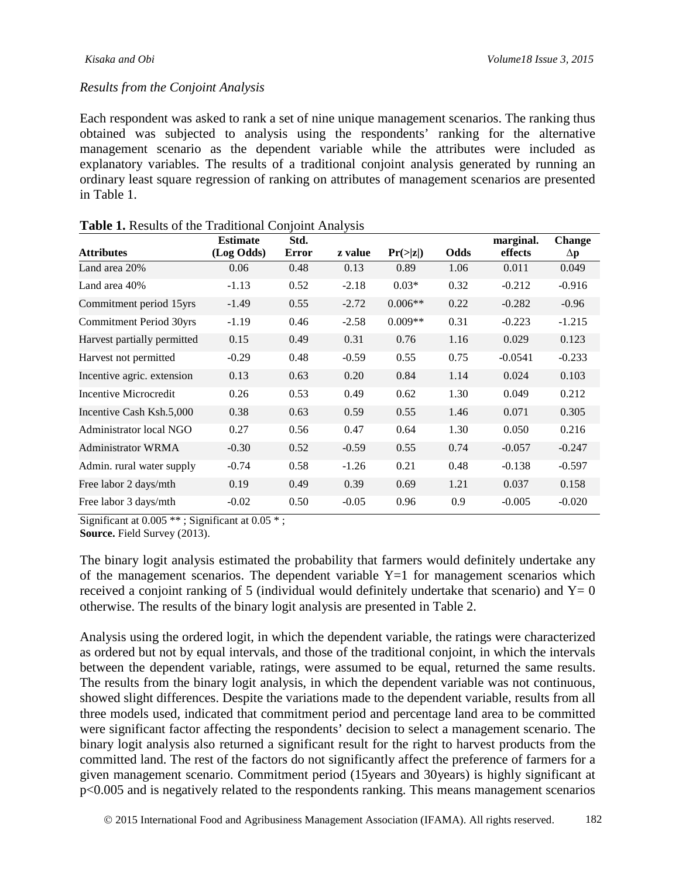#### *Results from the Conjoint Analysis*

Each respondent was asked to rank a set of nine unique management scenarios. The ranking thus obtained was subjected to analysis using the respondents' ranking for the alternative management scenario as the dependent variable while the attributes were included as explanatory variables. The results of a traditional conjoint analysis generated by running an ordinary least square regression of ranking on attributes of management scenarios are presented in Table 1.

|                                | <b>Estimate</b> | J<br>Std.    |         |                |      | marginal. | <b>Change</b> |
|--------------------------------|-----------------|--------------|---------|----------------|------|-----------|---------------|
| <b>Attributes</b>              | (Log Odds)      | <b>Error</b> | z value | $Pr(\geq  z )$ | Odds | effects   | $\Delta p$    |
| Land area 20%                  | 0.06            | 0.48         | 0.13    | 0.89           | 1.06 | 0.011     | 0.049         |
| Land area 40%                  | $-1.13$         | 0.52         | $-2.18$ | $0.03*$        | 0.32 | $-0.212$  | $-0.916$      |
| Commitment period 15yrs        | $-1.49$         | 0.55         | $-2.72$ | $0.006**$      | 0.22 | $-0.282$  | $-0.96$       |
| <b>Commitment Period 30yrs</b> | $-1.19$         | 0.46         | $-2.58$ | $0.009**$      | 0.31 | $-0.223$  | $-1.215$      |
| Harvest partially permitted    | 0.15            | 0.49         | 0.31    | 0.76           | 1.16 | 0.029     | 0.123         |
| Harvest not permitted          | $-0.29$         | 0.48         | $-0.59$ | 0.55           | 0.75 | $-0.0541$ | $-0.233$      |
| Incentive agric. extension     | 0.13            | 0.63         | 0.20    | 0.84           | 1.14 | 0.024     | 0.103         |
| Incentive Microcredit          | 0.26            | 0.53         | 0.49    | 0.62           | 1.30 | 0.049     | 0.212         |
| Incentive Cash Ksh.5,000       | 0.38            | 0.63         | 0.59    | 0.55           | 1.46 | 0.071     | 0.305         |
| Administrator local NGO        | 0.27            | 0.56         | 0.47    | 0.64           | 1.30 | 0.050     | 0.216         |
| <b>Administrator WRMA</b>      | $-0.30$         | 0.52         | $-0.59$ | 0.55           | 0.74 | $-0.057$  | $-0.247$      |
| Admin. rural water supply      | $-0.74$         | 0.58         | $-1.26$ | 0.21           | 0.48 | $-0.138$  | $-0.597$      |
| Free labor 2 days/mth          | 0.19            | 0.49         | 0.39    | 0.69           | 1.21 | 0.037     | 0.158         |
| Free labor 3 days/mth          | $-0.02$         | 0.50         | $-0.05$ | 0.96           | 0.9  | $-0.005$  | $-0.020$      |

| Table 1. Results of the Traditional Conjoint Analysis |  |
|-------------------------------------------------------|--|
|-------------------------------------------------------|--|

Significant at 0.005 \*\*; Significant at 0.05 \*;

**Source.** Field Survey (2013).

The binary logit analysis estimated the probability that farmers would definitely undertake any of the management scenarios. The dependent variable  $Y=1$  for management scenarios which received a conjoint ranking of 5 (individual would definitely undertake that scenario) and  $Y=0$ otherwise. The results of the binary logit analysis are presented in Table 2.

Analysis using the ordered logit, in which the dependent variable, the ratings were characterized as ordered but not by equal intervals, and those of the traditional conjoint, in which the intervals between the dependent variable, ratings, were assumed to be equal, returned the same results. The results from the binary logit analysis, in which the dependent variable was not continuous, showed slight differences. Despite the variations made to the dependent variable, results from all three models used, indicated that commitment period and percentage land area to be committed were significant factor affecting the respondents' decision to select a management scenario. The binary logit analysis also returned a significant result for the right to harvest products from the committed land. The rest of the factors do not significantly affect the preference of farmers for a given management scenario. Commitment period (15years and 30years) is highly significant at p<0.005 and is negatively related to the respondents ranking. This means management scenarios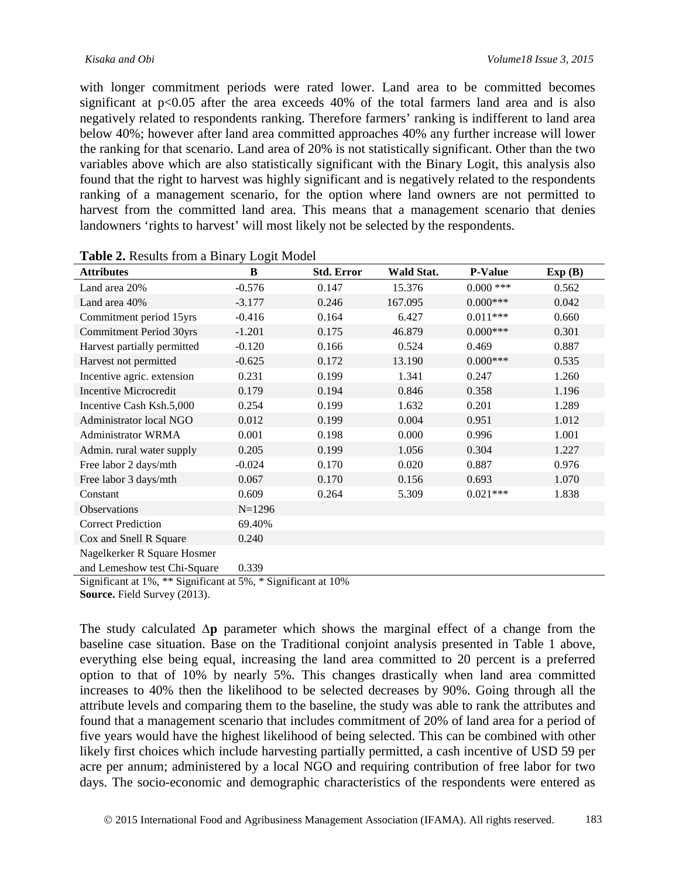with longer commitment periods were rated lower. Land area to be committed becomes significant at p<0.05 after the area exceeds 40% of the total farmers land area and is also negatively related to respondents ranking. Therefore farmers' ranking is indifferent to land area below 40%; however after land area committed approaches 40% any further increase will lower the ranking for that scenario. Land area of 20% is not statistically significant. Other than the two variables above which are also statistically significant with the Binary Logit, this analysis also found that the right to harvest was highly significant and is negatively related to the respondents ranking of a management scenario, for the option where land owners are not permitted to harvest from the committed land area. This means that a management scenario that denies landowners 'rights to harvest' will most likely not be selected by the respondents.

| <b>Attributes</b>                                                             | B          | <b>Std. Error</b> | Wald Stat. | <b>P-Value</b> | Exp(B) |
|-------------------------------------------------------------------------------|------------|-------------------|------------|----------------|--------|
| Land area 20%                                                                 | $-0.576$   | 0.147             | 15.376     | $0.000$ ***    | 0.562  |
| Land area 40%                                                                 | $-3.177$   | 0.246             | 167.095    | $0.000***$     | 0.042  |
| Commitment period 15yrs                                                       | $-0.416$   | 0.164             | 6.427      | $0.011***$     | 0.660  |
| <b>Commitment Period 30yrs</b>                                                | $-1.201$   | 0.175             | 46.879     | $0.000$ ***    | 0.301  |
| Harvest partially permitted                                                   | $-0.120$   | 0.166             | 0.524      | 0.469          | 0.887  |
| Harvest not permitted                                                         | $-0.625$   | 0.172             | 13.190     | $0.000$ ***    | 0.535  |
| Incentive agric. extension                                                    | 0.231      | 0.199             | 1.341      | 0.247          | 1.260  |
| <b>Incentive Microcredit</b>                                                  | 0.179      | 0.194             | 0.846      | 0.358          | 1.196  |
| Incentive Cash Ksh.5,000                                                      | 0.254      | 0.199             | 1.632      | 0.201          | 1.289  |
| Administrator local NGO                                                       | 0.012      | 0.199             | 0.004      | 0.951          | 1.012  |
| <b>Administrator WRMA</b>                                                     | 0.001      | 0.198             | 0.000      | 0.996          | 1.001  |
| Admin. rural water supply                                                     | 0.205      | 0.199             | 1.056      | 0.304          | 1.227  |
| Free labor 2 days/mth                                                         | $-0.024$   | 0.170             | 0.020      | 0.887          | 0.976  |
| Free labor 3 days/mth                                                         | 0.067      | 0.170             | 0.156      | 0.693          | 1.070  |
| Constant                                                                      | 0.609      | 0.264             | 5.309      | $0.021***$     | 1.838  |
| Observations                                                                  | $N = 1296$ |                   |            |                |        |
| <b>Correct Prediction</b>                                                     | 69.40%     |                   |            |                |        |
| Cox and Snell R Square                                                        | 0.240      |                   |            |                |        |
| Nagelkerker R Square Hosmer                                                   |            |                   |            |                |        |
| and Lemeshow test Chi-Square                                                  | 0.339      |                   |            |                |        |
| $Sianification to to 10/$ ** $Sianification to 50/$ * $Sianification to 100/$ |            |                   |            |                |        |

|  | Table 2. Results from a Binary Logit Model |
|--|--------------------------------------------|
|--|--------------------------------------------|

Significant at 1%, \*\* Significant at 5%, \* Significant at 10%

**Source.** Field Survey (2013).

The study calculated **∆p** parameter which shows the marginal effect of a change from the baseline case situation. Base on the Traditional conjoint analysis presented in Table 1 above, everything else being equal, increasing the land area committed to 20 percent is a preferred option to that of 10% by nearly 5%. This changes drastically when land area committed increases to 40% then the likelihood to be selected decreases by 90%. Going through all the attribute levels and comparing them to the baseline, the study was able to rank the attributes and found that a management scenario that includes commitment of 20% of land area for a period of five years would have the highest likelihood of being selected. This can be combined with other likely first choices which include harvesting partially permitted, a cash incentive of USD 59 per acre per annum; administered by a local NGO and requiring contribution of free labor for two days. The socio-economic and demographic characteristics of the respondents were entered as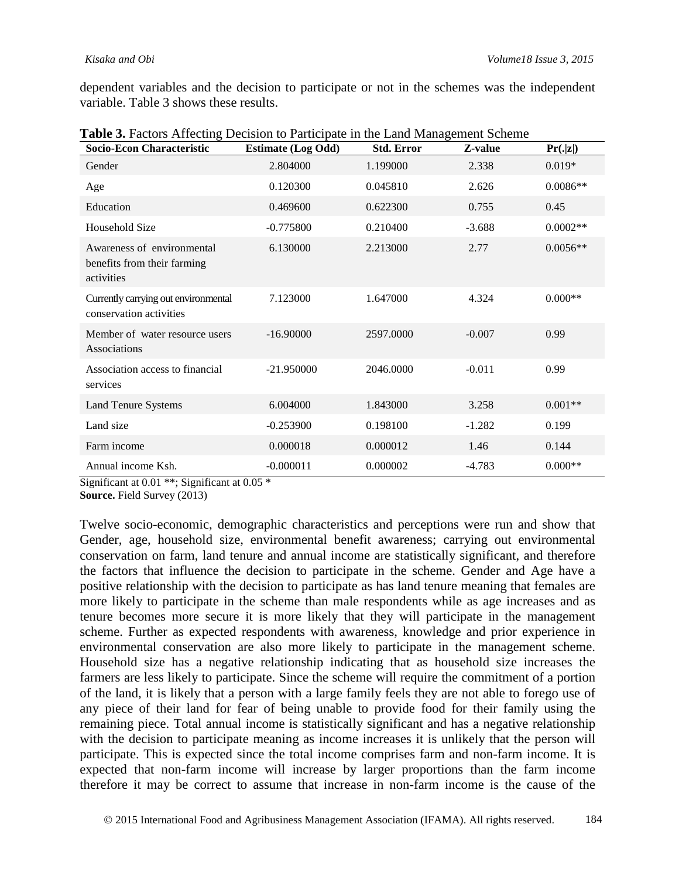dependent variables and the decision to participate or not in the schemes was the independent variable. Table 3 shows these results.

| Socio-Econ Characteristic                                               | <b>Estimate (Log Odd)</b> | <b>Std. Error</b> | Z-value  | Pr(. z )   |
|-------------------------------------------------------------------------|---------------------------|-------------------|----------|------------|
| Gender                                                                  | 2.804000                  | 1.199000          | 2.338    | $0.019*$   |
| Age                                                                     | 0.120300                  | 0.045810          | 2.626    | $0.0086**$ |
| Education                                                               | 0.469600                  | 0.622300          | 0.755    | 0.45       |
| Household Size                                                          | $-0.775800$               | 0.210400          | $-3.688$ | $0.0002**$ |
| Awareness of environmental<br>benefits from their farming<br>activities | 6.130000                  | 2.213000          | 2.77     | $0.0056**$ |
| Currently carrying out environmental<br>conservation activities         | 7.123000                  | 1.647000          | 4.324    | $0.000**$  |
| Member of water resource users<br>Associations                          | $-16.90000$               | 2597.0000         | $-0.007$ | 0.99       |
| Association access to financial<br>services                             | $-21.950000$              | 2046.0000         | $-0.011$ | 0.99       |
| Land Tenure Systems                                                     | 6.004000                  | 1.843000          | 3.258    | $0.001**$  |
| Land size                                                               | $-0.253900$               | 0.198100          | $-1.282$ | 0.199      |
| Farm income                                                             | 0.000018                  | 0.000012          | 1.46     | 0.144      |
| Annual income Ksh.                                                      | $-0.000011$               | 0.000002          | $-4.783$ | $0.000**$  |

**Table 3.** Factors Affecting Decision to Participate in the Land Management Scheme

Significant at 0.01 \*\*; Significant at 0.05 \*

**Source.** Field Survey (2013)

Twelve socio-economic, demographic characteristics and perceptions were run and show that Gender, age, household size, environmental benefit awareness; carrying out environmental conservation on farm, land tenure and annual income are statistically significant, and therefore the factors that influence the decision to participate in the scheme. Gender and Age have a positive relationship with the decision to participate as has land tenure meaning that females are more likely to participate in the scheme than male respondents while as age increases and as tenure becomes more secure it is more likely that they will participate in the management scheme. Further as expected respondents with awareness, knowledge and prior experience in environmental conservation are also more likely to participate in the management scheme. Household size has a negative relationship indicating that as household size increases the farmers are less likely to participate. Since the scheme will require the commitment of a portion of the land, it is likely that a person with a large family feels they are not able to forego use of any piece of their land for fear of being unable to provide food for their family using the remaining piece. Total annual income is statistically significant and has a negative relationship with the decision to participate meaning as income increases it is unlikely that the person will participate. This is expected since the total income comprises farm and non-farm income. It is expected that non-farm income will increase by larger proportions than the farm income therefore it may be correct to assume that increase in non-farm income is the cause of the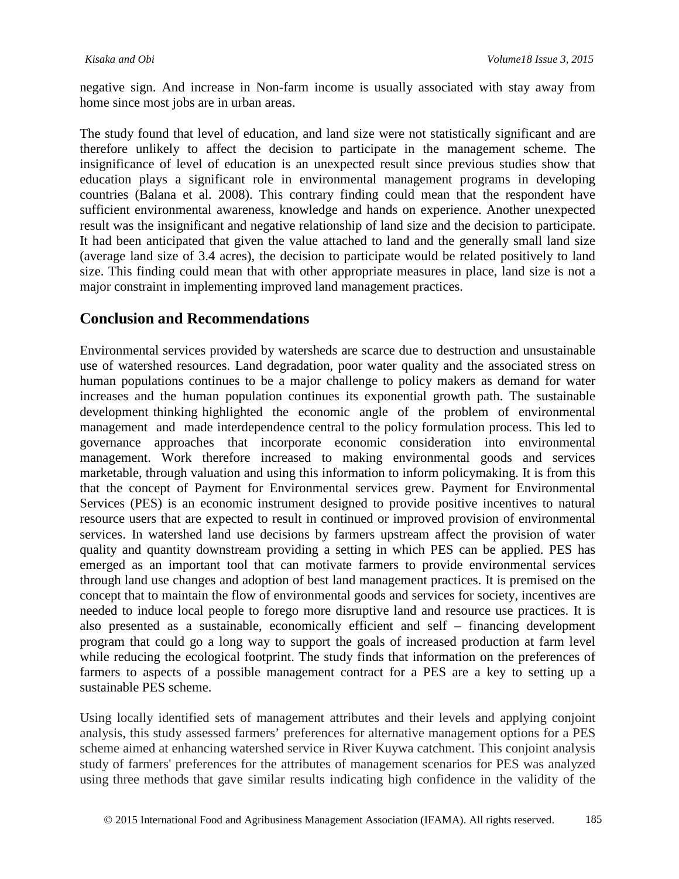negative sign. And increase in Non-farm income is usually associated with stay away from home since most jobs are in urban areas.

The study found that level of education, and land size were not statistically significant and are therefore unlikely to affect the decision to participate in the management scheme. The insignificance of level of education is an unexpected result since previous studies show that education plays a significant role in environmental management programs in developing countries (Balana et al. 2008). This contrary finding could mean that the respondent have sufficient environmental awareness, knowledge and hands on experience. Another unexpected result was the insignificant and negative relationship of land size and the decision to participate. It had been anticipated that given the value attached to land and the generally small land size (average land size of 3.4 acres), the decision to participate would be related positively to land size. This finding could mean that with other appropriate measures in place, land size is not a major constraint in implementing improved land management practices.

# **Conclusion and Recommendations**

Environmental services provided by watersheds are scarce due to destruction and unsustainable use of watershed resources. Land degradation, poor water quality and the associated stress on human populations continues to be a major challenge to policy makers as demand for water increases and the human population continues its exponential growth path. The sustainable development thinking highlighted the economic angle of the problem of environmental management and made interdependence central to the policy formulation process. This led to governance approaches that incorporate economic consideration into environmental management. Work therefore increased to making environmental goods and services marketable, through valuation and using this information to inform policymaking. It is from this that the concept of Payment for Environmental services grew. Payment for Environmental Services (PES) is an economic instrument designed to provide positive incentives to natural resource users that are expected to result in continued or improved provision of environmental services. In watershed land use decisions by farmers upstream affect the provision of water quality and quantity downstream providing a setting in which PES can be applied. PES has emerged as an important tool that can motivate farmers to provide environmental services through land use changes and adoption of best land management practices. It is premised on the concept that to maintain the flow of environmental goods and services for society, incentives are needed to induce local people to forego more disruptive land and resource use practices. It is also presented as a sustainable, economically efficient and self – financing development program that could go a long way to support the goals of increased production at farm level while reducing the ecological footprint. The study finds that information on the preferences of farmers to aspects of a possible management contract for a PES are a key to setting up a sustainable PES scheme.

Using locally identified sets of management attributes and their levels and applying conjoint analysis, this study assessed farmers' preferences for alternative management options for a PES scheme aimed at enhancing watershed service in River Kuywa catchment. This conjoint analysis study of farmers' preferences for the attributes of management scenarios for PES was analyzed using three methods that gave similar results indicating high confidence in the validity of the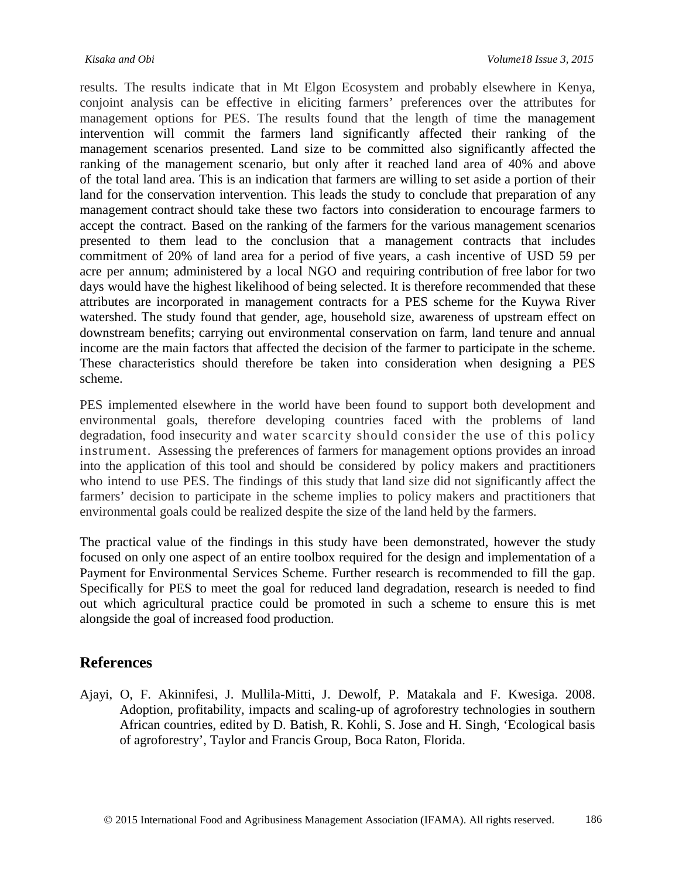results. The results indicate that in Mt Elgon Ecosystem and probably elsewhere in Kenya, conjoint analysis can be effective in eliciting farmers' preferences over the attributes for management options for PES. The results found that the length of time the management intervention will commit the farmers land significantly affected their ranking of the management scenarios presented. Land size to be committed also significantly affected the ranking of the management scenario, but only after it reached land area of 40% and above of the total land area. This is an indication that farmers are willing to set aside a portion of their land for the conservation intervention. This leads the study to conclude that preparation of any management contract should take these two factors into consideration to encourage farmers to accept the contract. Based on the ranking of the farmers for the various management scenarios presented to them lead to the conclusion that a management contracts that includes commitment of 20% of land area for a period of five years, a cash incentive of USD 59 per acre per annum; administered by a local NGO and requiring contribution of free labor for two days would have the highest likelihood of being selected. It is therefore recommended that these attributes are incorporated in management contracts for a PES scheme for the Kuywa River watershed. The study found that gender, age, household size, awareness of upstream effect on downstream benefits; carrying out environmental conservation on farm, land tenure and annual income are the main factors that affected the decision of the farmer to participate in the scheme. These characteristics should therefore be taken into consideration when designing a PES scheme.

PES implemented elsewhere in the world have been found to support both development and environmental goals, therefore developing countries faced with the problems of land degradation, food insecurity and water scarcity should consider the use of this policy instrument. Assessing the preferences of farmers for management options provides an inroad into the application of this tool and should be considered by policy makers and practitioners who intend to use PES. The findings of this study that land size did not significantly affect the farmers' decision to participate in the scheme implies to policy makers and practitioners that environmental goals could be realized despite the size of the land held by the farmers.

The practical value of the findings in this study have been demonstrated, however the study focused on only one aspect of an entire toolbox required for the design and implementation of a Payment for Environmental Services Scheme. Further research is recommended to fill the gap. Specifically for PES to meet the goal for reduced land degradation, research is needed to find out which agricultural practice could be promoted in such a scheme to ensure this is met alongside the goal of increased food production.

## **References**

Ajayi, O, F. Akinnifesi, J. Mullila-Mitti, J. Dewolf, P. Matakala and F. Kwesiga. 2008. Adoption, profitability, impacts and scaling-up of agroforestry technologies in southern African countries, edited by D. Batish, R. Kohli, S. Jose and H. Singh, 'Ecological basis of agroforestry', Taylor and Francis Group, Boca Raton, Florida.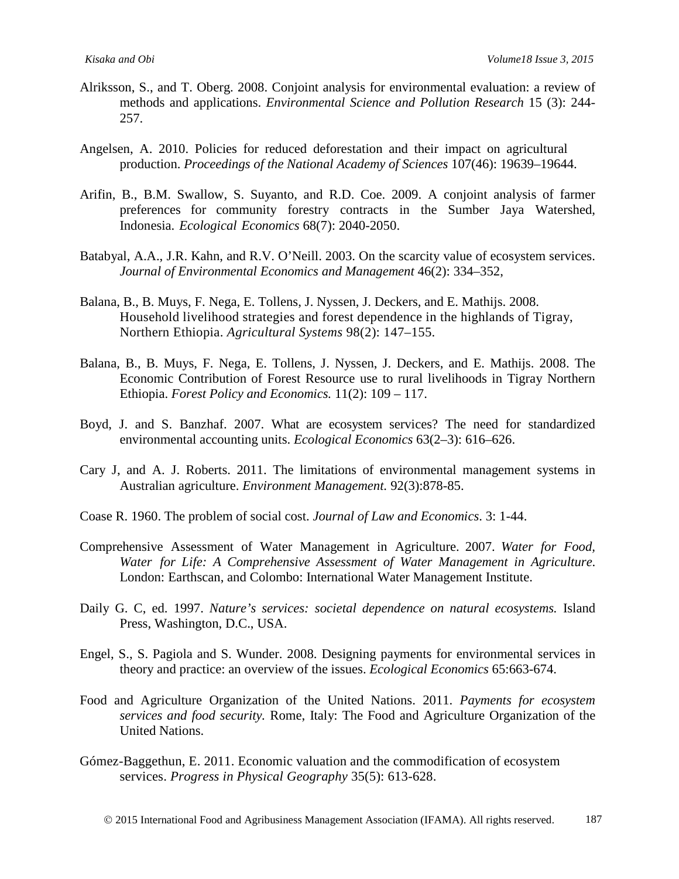- Alriksson, S., and T. Oberg. 2008. Conjoint analysis for environmental evaluation: a review of methods and applications. *Environmental Science and Pollution Research* 15 (3): 244- 257.
- Angelsen, A. 2010. Policies for reduced deforestation and their impact on agricultural production. *Proceedings of the National Academy of Sciences* 107(46): 19639–19644.
- Arifin, B., B.M. Swallow, S. Suyanto, and R.D. Coe. 2009. A conjoint analysis of farmer preferences for community forestry contracts in the Sumber Jaya Watershed, Indonesia. *Ecological Economics* 68(7): 2040-2050.
- Batabyal, A.A., J.R. Kahn, and R.V. O'Neill. 2003. On the scarcity value of ecosystem services. *Journal of Environmental Economics and Management* 46(2): 334–352,
- Balana, B., B. Muys, F. Nega, E. Tollens, J. Nyssen, J. Deckers, and E. Mathijs. 2008. Household livelihood strategies and forest dependence in the highlands of Tigray, Northern Ethiopia. *Agricultural Systems* 98(2): 147–155.
- Balana, B., B. Muys, F. Nega, E. Tollens, J. Nyssen, J. Deckers, and E. Mathijs. 2008. The Economic Contribution of Forest Resource use to rural livelihoods in Tigray Northern Ethiopia. *Forest Policy and Economics.* 11(2): 109 – 117.
- Boyd, J. and S. Banzhaf. 2007. What are ecosystem services? The need for standardized environmental accounting units. *Ecological Economics* 63(2–3): 616–626.
- Cary J, and A. J. Roberts. 2011. [The limitations of environmental](http://www.ncbi.nlm.nih.gov/pubmed/21084146) management systems in [Australian](http://www.ncbi.nlm.nih.gov/pubmed/21084146) [agriculture.](http://www.ncbi.nlm.nih.gov/pubmed/21084146) *Environment Management.* 92(3):878-85.
- Coase R. 1960. The problem of social cost. *Journal of Law and Economics*. 3: 1-44.
- Comprehensive Assessment of Water Management in Agriculture. 2007. *Water for Food, Water for Life: A Comprehensive Assessment of Water Management in Agriculture*. London: Earthscan, and Colombo: International Water Management Institute.
- Daily G. C, ed. 1997. *Nature's services: societal dependence on natural ecosystems.* Island Press, Washington, D.C., USA.
- Engel, S., S. Pagiola and S. Wunder. 2008. Designing payments for environmental services in theory and practice: an overview of the issues. *Ecological Economics* 65:663-674.
- Food and Agriculture Organization of the United Nations. 2011. *Payments for ecosystem services and food security.* Rome, Italy: The Food and Agriculture Organization of the United Nations.
- Gómez-Baggethun, E. 2011. Economic valuation and the commodification of ecosystem services. *Progress in Physical Geography* 35(5): 613-628.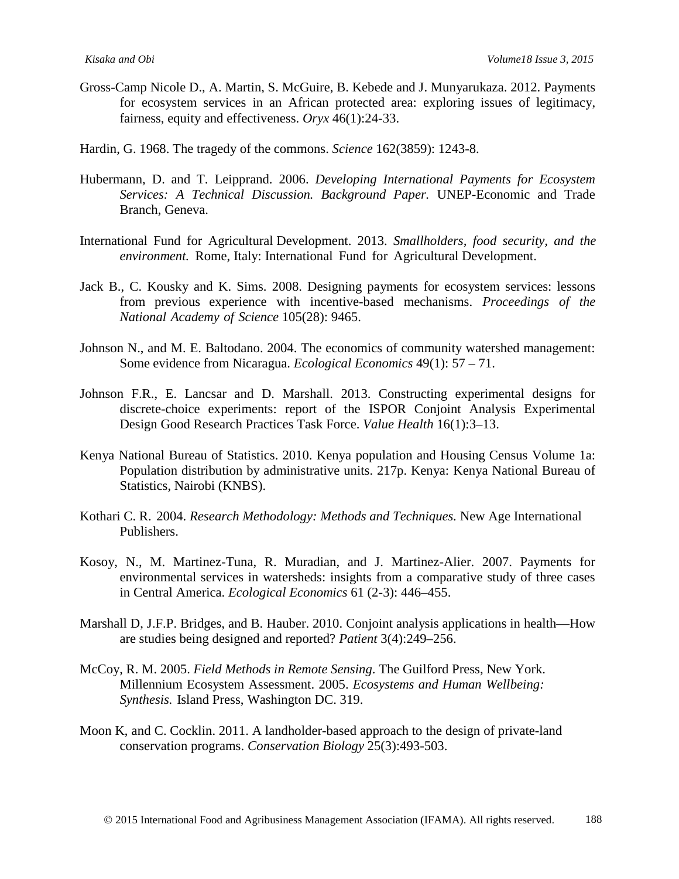- Gross-Camp Nicole D., A. Martin, S. McGuire, B. Kebede and J. Munyarukaza. 2012. Payments for ecosystem services in an African protected area: exploring issues of legitimacy, fairness, equity and effectiveness. *Oryx* 46(1):24-33.
- Hardin, G. 1968. The tragedy of the commons. *Science* 162(3859): 1243-8.
- Hubermann, D. and T. Leipprand. 2006. *Developing International Payments for Ecosystem Services: A Technical Discussion. Background Paper.* UNEP-Economic and Trade Branch, Geneva.
- International Fund for Agricultural Development. 2013. *Smallholders, food security, and the environment.* Rome, Italy: International Fund for Agricultural Development.
- Jack B., C. Kousky and K. Sims. 2008. Designing payments for ecosystem services: lessons from previous experience with incentive-based mechanisms. *Proceedings of the National Academy of Science* 105(28): 9465.
- Johnson N., and M. E. Baltodano. 2004. The economics of community watershed management: Some evidence from Nicaragua. *Ecological Economics* 49(1): 57 – 71.
- Johnson F.R., E. Lancsar and D. Marshall. 2013. Constructing experimental designs for discrete-choice experiments: report of the ISPOR Conjoint Analysis Experimental Design Good Research Practices Task Force. *Value Health* 16(1):3–13.
- Kenya National Bureau of Statistics. 2010. Kenya population and Housing Census Volume 1a: Population distribution by administrative units. 217p. Kenya: Kenya National Bureau of Statistics, Nairobi (KNBS).
- Kothari C. R. 2004. *Research Methodology: Methods and Techniques.* New Age International Publishers.
- Kosoy, N., M. Martinez-Tuna, R. Muradian, and J. Martinez-Alier. 2007. Payments for environmental services in watersheds: insights from a comparative study of three cases in Central America. *Ecological Economics* 61 (2-3): 446–455.
- Marshall D, J.F.P. Bridges, and B. Hauber. 2010. Conjoint analysis applications in health—How are studies being designed and reported? *Patient* 3(4):249–256.
- McCoy, R. M. 2005. *Field Methods in Remote Sensing*. The Guilford Press, New York. Millennium Ecosystem Assessment. 2005. *Ecosystems and Human Wellbeing: Synthesis.* Island Press, Washington DC. 319.
- Moon K, and C. Cocklin. 2011. A [landholder-based](http://www.ncbi.nlm.nih.gov/pubmed/21309851) approach to the design of private-land [conservation](http://www.ncbi.nlm.nih.gov/pubmed/21309851) [programs](http://www.ncbi.nlm.nih.gov/pubmed/21309851). *Conservation Biology* 25(3):493-503.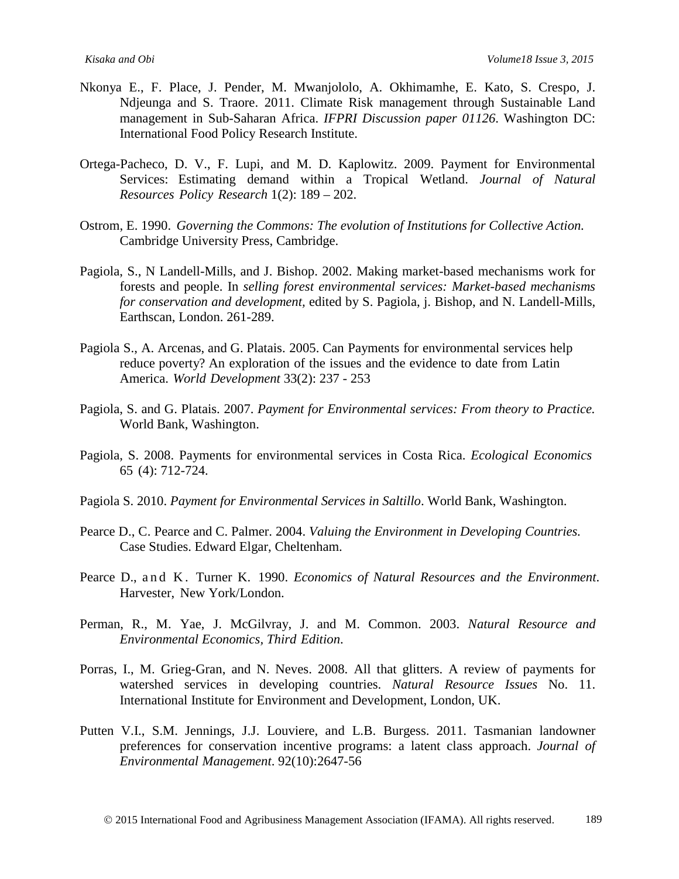- Nkonya E., F. Place, J. Pender, M. Mwanjololo, A. Okhimamhe, E. Kato, S. Crespo, J. Ndjeunga and S. Traore. 2011. Climate Risk management through Sustainable Land management in Sub-Saharan Africa. *IFPRI Discussion paper 01126*. Washington DC: International Food Policy Research Institute.
- Ortega-Pacheco, D. V., F. Lupi, and M. D. Kaplowitz. 2009. Payment for Environmental Services: Estimating demand within a Tropical Wetland. *Journal of Natural Resources Policy Research* 1(2): 189 – 202.
- Ostrom, E. 1990. *Governing the Commons: The evolution of Institutions for Collective Action.* Cambridge University Press, Cambridge.
- Pagiola, S., N Landell-Mills, and J. Bishop. 2002. Making market-based mechanisms work for forests and people. In *selling forest environmental services: Market-based mechanisms for conservation and development,* edited by S. Pagiola, j. Bishop, and N. Landell-Mills, Earthscan, London. 261-289.
- Pagiola S., A. Arcenas, and G. Platais. 2005. Can Payments for environmental services help reduce poverty? An exploration of the issues and the evidence to date from Latin America. *World Development* 33(2): 237 - 253
- Pagiola, S. and G. Platais. 2007. *Payment for Environmental services: From theory to Practice.* World Bank, Washington.
- Pagiola, S. 2008. Payments for environmental services in Costa Rica. *Ecological Economics* 65 (4): 712-724.
- Pagiola S. 2010. *Payment for Environmental Services in Saltillo*. World Bank, Washington.
- Pearce D., C. Pearce and C. Palmer. 2004. *Valuing the Environment in Developing Countries.* Case Studies. Edward Elgar, Cheltenham.
- Pearce D., and K. Turner K. 1990. *Economics of Natural Resources and the Environment*. Harvester, New York/London.
- Perman, R., M. Yae, J. McGilvray, J. and M. Common. 2003. *Natural Resource and Environmental Economics, Third Edition*.
- Porras, I., M. Grieg-Gran, and N. Neves. 2008. All that glitters. A review of payments for watershed services in developing countries. *Natural Resource Issues* No. 11. International Institute for Environment and Development, London, UK.
- Putten V.I., S.M. Jennings, J.J. Louviere, and L.B. Burgess. 2011. [Tasmanian](http://www.ncbi.nlm.nih.gov/pubmed/21719189) landowner [preferences](http://www.ncbi.nlm.nih.gov/pubmed/21719189) for [conservation](http://www.ncbi.nlm.nih.gov/pubmed/21719189) incentive programs: a latent class approach. *Journal of Environmental Management*. 92(10):2647-56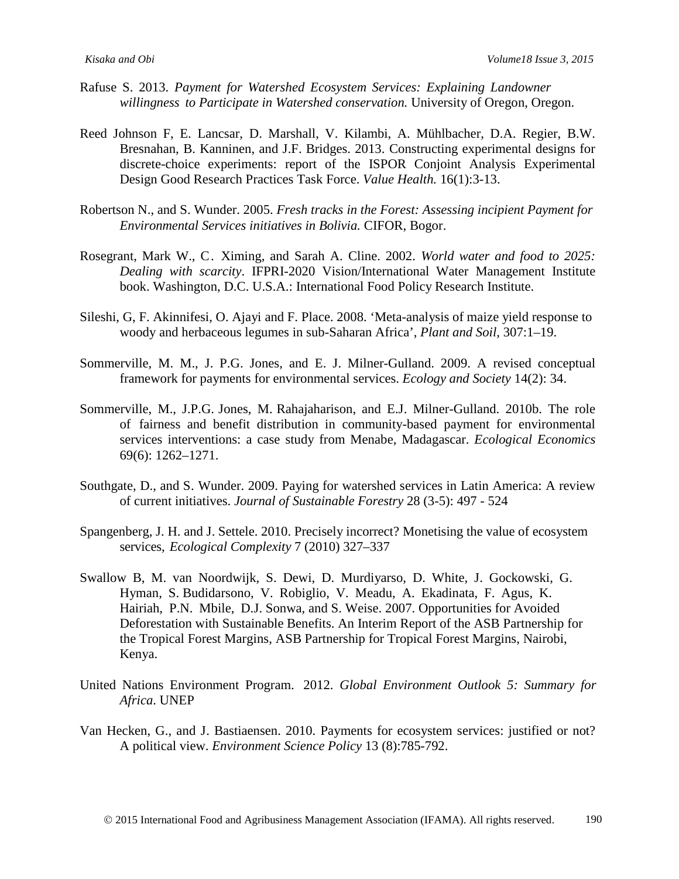- Rafuse S. 2013. *Payment for Watershed Ecosystem Services: Explaining Landowner willingness to Participate in Watershed conservation.* University of Oregon, Oregon.
- Reed Johnson F, E. Lancsar, D. Marshall, V. Kilambi, A. Mühlbacher, D.A. Regier, B.W. Bresnahan, B. Kanninen, and J.F. Bridges. 2013. Constructing [experimental](http://www.ncbi.nlm.nih.gov/pubmed/23337210) designs for [discrete-choice](http://www.ncbi.nlm.nih.gov/pubmed/23337210) experiments: report of the [ISPOR Conjoint Analysis Experimental](http://www.ncbi.nlm.nih.gov/pubmed/23337210) Design Good [Research](http://www.ncbi.nlm.nih.gov/pubmed/23337210) [Practices Tas](http://www.ncbi.nlm.nih.gov/pubmed/23337210)k Force. *Value Health.* 16(1):3-13.
- Robertson N., and S. Wunder. 2005. *Fresh tracks in the Forest: Assessing incipient Payment for Environmental Services initiatives in Bolivia.* CIFOR, Bogor.
- Rosegrant, Mark W., C. Ximing, and Sarah A. Cline. 2002. *World water and food to 2025: Dealing with scarcity*. IFPRI-2020 Vision/International Water Management Institute book. Washington, D.C. U.S.A.: International Food Policy Research Institute.
- Sileshi, G, F. Akinnifesi, O. Ajayi and F. Place. 2008. 'Meta-analysis of maize yield response to woody and herbaceous legumes in sub-Saharan Africa', *Plant and Soil,* 307:1–19.
- Sommerville, M. M., J. P.G. Jones, and E. J. Milner-Gulland. 2009. A revised conceptual framework for payments for environmental services. *Ecology and Society* 14(2): 34.
- Sommerville, M., J.P.G. Jones, M. Rahajaharison, and E.J. Milner-Gulland. 2010b. The role of fairness and benefit distribution in community-based payment for environmental services interventions: a case study from Menabe, Madagascar. *Ecological Economics*  69(6): 1262–1271.
- Southgate, D., and S. Wunder. 2009. Paying for watershed services in Latin America: A review of current initiatives. *Journal of Sustainable Forestry* 28 (3-5): 497 - 524
- Spangenberg, J. H. and J. Settele. 2010. Precisely incorrect? Monetising the value of ecosystem services, *Ecological Complexity* 7 (2010) 327–337
- Swallow B, M. van Noordwijk, S. Dewi, D. Murdiyarso, D. White, J. Gockowski, G. Hyman, S. Budidarsono, V. Robiglio, V. Meadu, A. Ekadinata, F. Agus, K. Hairiah, P.N. Mbile, D.J. Sonwa, and S. Weise. 2007. Opportunities for Avoided Deforestation with Sustainable Benefits. An Interim Report of the ASB Partnership for the Tropical Forest Margins, ASB Partnership for Tropical Forest Margins, Nairobi, Kenya.
- United Nations Environment Program. 2012. *Global Environment Outlook 5: Summary for Africa*. UNEP
- Van Hecken, G., and J. Bastiaensen. 2010. Payments for ecosystem services: justified or not? A political view. *Environment Science Policy* 13 (8):785-792.